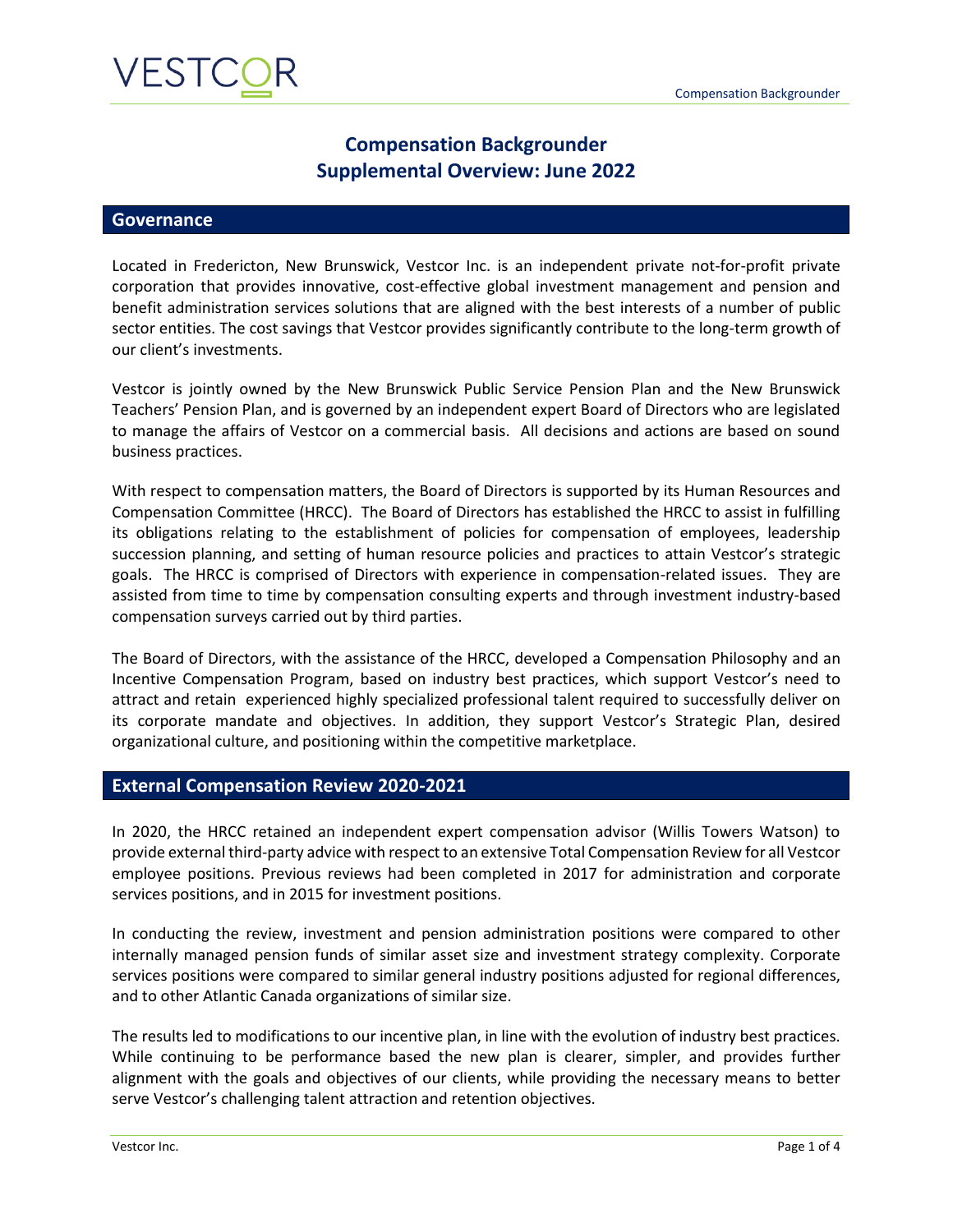## **Compensation Backgrounder Supplemental Overview: June 2022**

### **Governance**

Located in Fredericton, New Brunswick, Vestcor Inc. is an independent private not-for-profit private corporation that provides innovative, cost-effective global investment management and pension and benefit administration services solutions that are aligned with the best interests of a number of public sector entities. The cost savings that Vestcor provides significantly contribute to the long-term growth of our client's investments.

Vestcor is jointly owned by the New Brunswick Public Service Pension Plan and the New Brunswick Teachers' Pension Plan, and is governed by an independent expert Board of Directors who are legislated to manage the affairs of Vestcor on a commercial basis. All decisions and actions are based on sound business practices.

With respect to compensation matters, the Board of Directors is supported by its Human Resources and Compensation Committee (HRCC). The Board of Directors has established the HRCC to assist in fulfilling its obligations relating to the establishment of policies for compensation of employees, leadership succession planning, and setting of human resource policies and practices to attain Vestcor's strategic goals. The HRCC is comprised of Directors with experience in compensation-related issues. They are assisted from time to time by compensation consulting experts and through investment industry-based compensation surveys carried out by third parties.

The Board of Directors, with the assistance of the HRCC, developed a Compensation Philosophy and an Incentive Compensation Program, based on industry best practices, which support Vestcor's need to attract and retain experienced highly specialized professional talent required to successfully deliver on its corporate mandate and objectives. In addition, they support Vestcor's Strategic Plan, desired organizational culture, and positioning within the competitive marketplace.

### **External Compensation Review 2020-2021**

In 2020, the HRCC retained an independent expert compensation advisor (Willis Towers Watson) to provide external third-party advice with respect to an extensive Total Compensation Review for all Vestcor employee positions. Previous reviews had been completed in 2017 for administration and corporate services positions, and in 2015 for investment positions.

In conducting the review, investment and pension administration positions were compared to other internally managed pension funds of similar asset size and investment strategy complexity. Corporate services positions were compared to similar general industry positions adjusted for regional differences, and to other Atlantic Canada organizations of similar size.

The results led to modifications to our incentive plan, in line with the evolution of industry best practices. While continuing to be performance based the new plan is clearer, simpler, and provides further alignment with the goals and objectives of our clients, while providing the necessary means to better serve Vestcor's challenging talent attraction and retention objectives.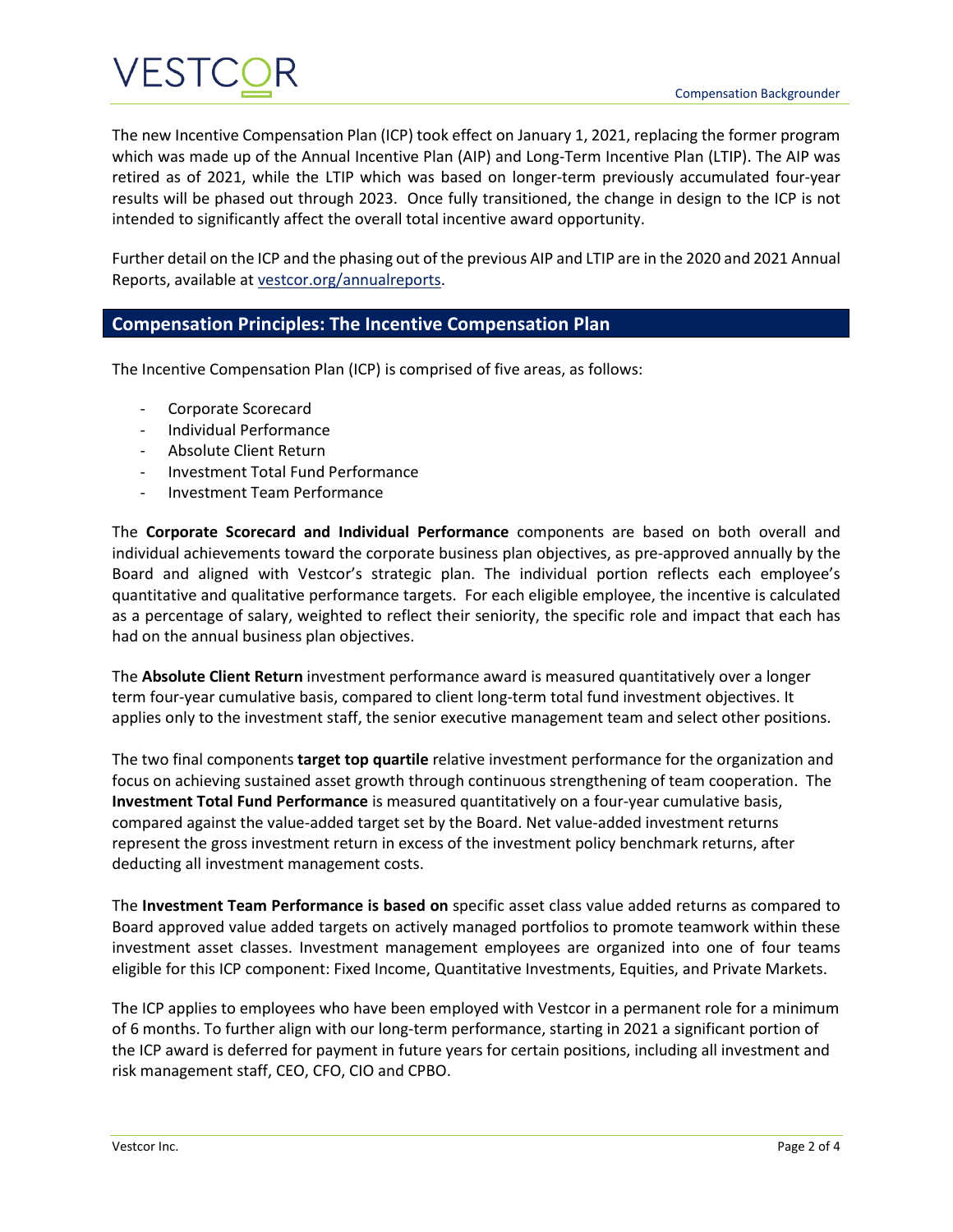

The new Incentive Compensation Plan (ICP) took effect on January 1, 2021, replacing the former program which was made up of the Annual Incentive Plan (AIP) and Long-Term Incentive Plan (LTIP). The AIP was retired as of 2021, while the LTIP which was based on longer-term previously accumulated four-year results will be phased out through 2023. Once fully transitioned, the change in design to the ICP is not intended to significantly affect the overall total incentive award opportunity.

Further detail on the ICP and the phasing out of the previous AIP and LTIP are in the 2020 and 2021 Annual Reports, available a[t vestcor.org/annualreports.](http://www.vestcor.org/annualreports)

## **Compensation Principles: The Incentive Compensation Plan**

The Incentive Compensation Plan (ICP) is comprised of five areas, as follows:

- Corporate Scorecard
- Individual Performance
- Absolute Client Return
- Investment Total Fund Performance
- Investment Team Performance

The **Corporate Scorecard and Individual Performance** components are based on both overall and individual achievements toward the corporate business plan objectives, as pre-approved annually by the Board and aligned with Vestcor's strategic plan. The individual portion reflects each employee's quantitative and qualitative performance targets. For each eligible employee, the incentive is calculated as a percentage of salary, weighted to reflect their seniority, the specific role and impact that each has had on the annual business plan objectives.

The **Absolute Client Return** investment performance award is measured quantitatively over a longer term four-year cumulative basis, compared to client long-term total fund investment objectives. It applies only to the investment staff, the senior executive management team and select other positions.

The two final components **target top quartile** relative investment performance for the organization and focus on achieving sustained asset growth through continuous strengthening of team cooperation. The **Investment Total Fund Performance** is measured quantitatively on a four-year cumulative basis, compared against the value-added target set by the Board. Net value-added investment returns represent the gross investment return in excess of the investment policy benchmark returns, after deducting all investment management costs.

The **Investment Team Performance is based on** specific asset class value added returns as compared to Board approved value added targets on actively managed portfolios to promote teamwork within these investment asset classes. Investment management employees are organized into one of four teams eligible for this ICP component: Fixed Income, Quantitative Investments, Equities, and Private Markets.

The ICP applies to employees who have been employed with Vestcor in a permanent role for a minimum of 6 months. To further align with our long-term performance, starting in 2021 a significant portion of the ICP award is deferred for payment in future years for certain positions, including all investment and risk management staff, CEO, CFO, CIO and CPBO.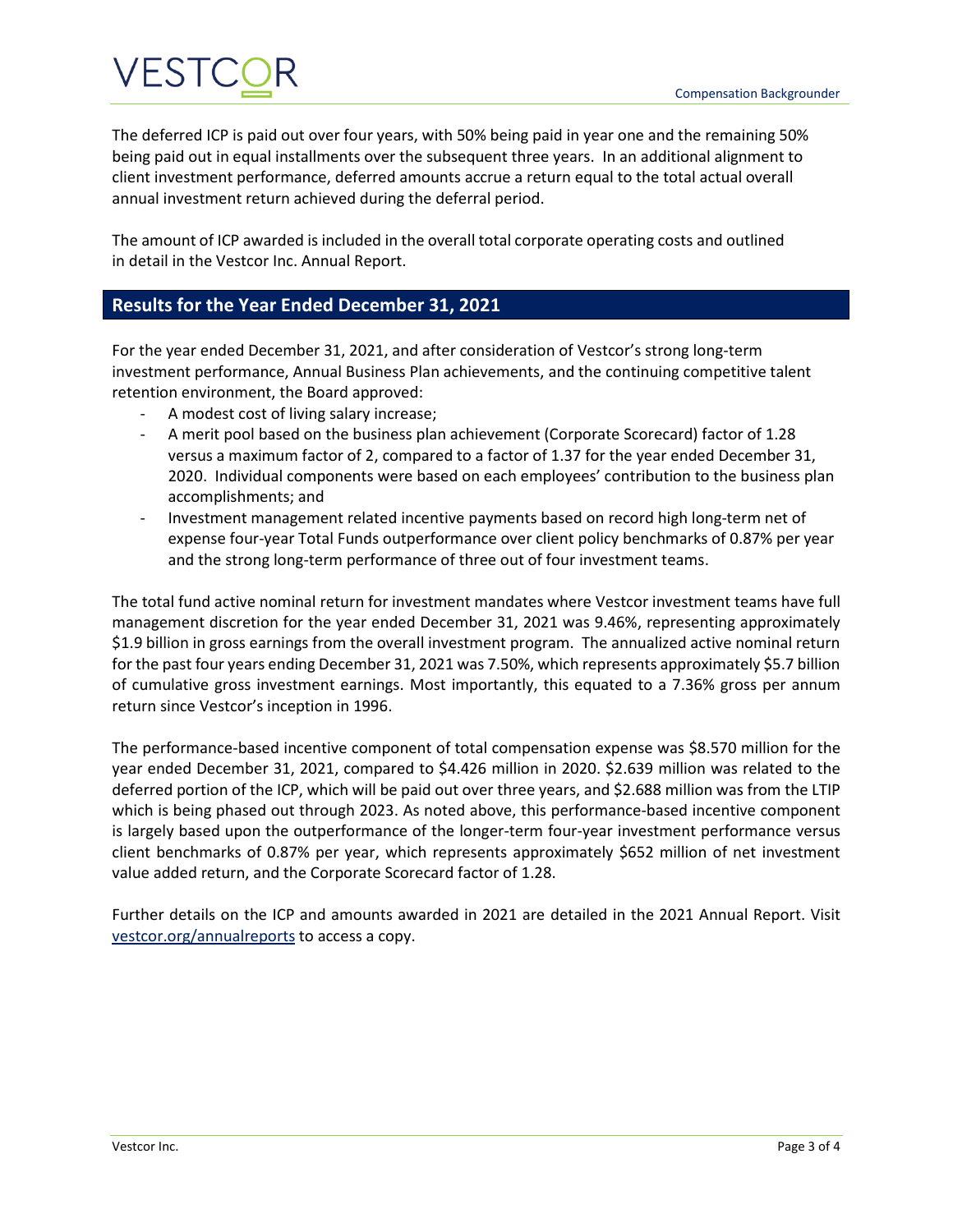# VESTC

The deferred ICP is paid out over four years, with 50% being paid in year one and the remaining 50% being paid out in equal installments over the subsequent three years. In an additional alignment to client investment performance, deferred amounts accrue a return equal to the total actual overall annual investment return achieved during the deferral period.

The amount of ICP awarded is included in the overall total corporate operating costs and outlined in detail in the Vestcor Inc. Annual Report.

## **Results for the Year Ended December 31, 2021**

For the year ended December 31, 2021, and after consideration of Vestcor's strong long-term investment performance, Annual Business Plan achievements, and the continuing competitive talent retention environment, the Board approved:

- A modest cost of living salary increase;
- A merit pool based on the business plan achievement (Corporate Scorecard) factor of 1.28 versus a maximum factor of 2, compared to a factor of 1.37 for the year ended December 31, 2020. Individual components were based on each employees' contribution to the business plan accomplishments; and
- Investment management related incentive payments based on record high long-term net of expense four-year Total Funds outperformance over client policy benchmarks of 0.87% per year and the strong long-term performance of three out of four investment teams.

The total fund active nominal return for investment mandates where Vestcor investment teams have full management discretion for the year ended December 31, 2021 was 9.46%, representing approximately \$1.9 billion in gross earnings from the overall investment program. The annualized active nominal return for the past four years ending December 31, 2021 was 7.50%, which represents approximately \$5.7 billion of cumulative gross investment earnings. Most importantly, this equated to a 7.36% gross per annum return since Vestcor's inception in 1996.

The performance-based incentive component of total compensation expense was \$8.570 million for the year ended December 31, 2021, compared to \$4.426 million in 2020. \$2.639 million was related to the deferred portion of the ICP, which will be paid out over three years, and \$2.688 million was from the LTIP which is being phased out through 2023. As noted above, this performance-based incentive component is largely based upon the outperformance of the longer-term four-year investment performance versus client benchmarks of 0.87% per year, which represents approximately \$652 million of net investment value added return, and the Corporate Scorecard factor of 1.28.

Further details on the ICP and amounts awarded in 2021 are detailed in the 2021 Annual Report. Visit [vestcor.org/annualreports](http://www.vestcor.org/annualreports) to access a copy.